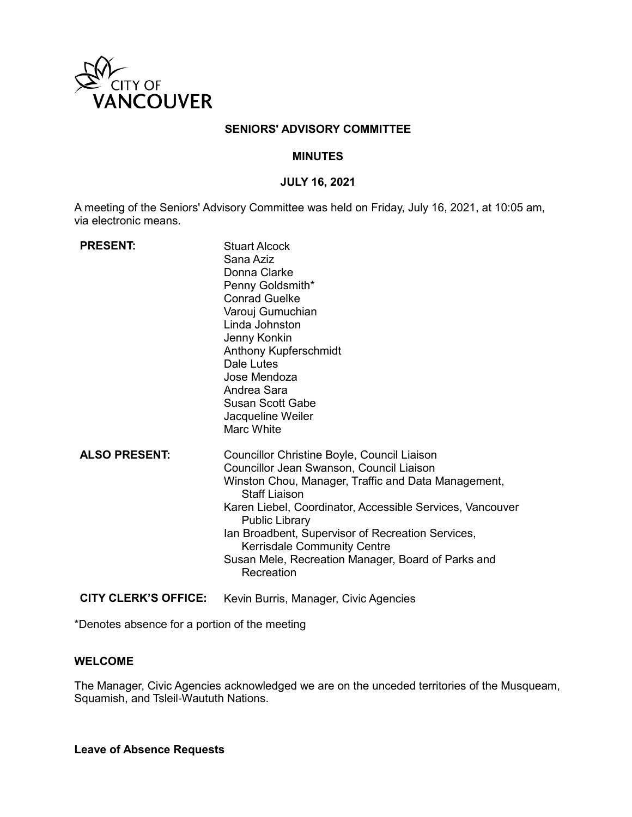

### **SENIORS' ADVISORY COMMITTEE**

### **MINUTES**

#### **JULY 16, 2021**

A meeting of the Seniors' Advisory Committee was held on Friday, July 16, 2021, at 10:05 am, via electronic means.

| <b>PRESENT:</b>             | <b>Stuart Alcock</b><br>Sana Aziz<br>Donna Clarke<br>Penny Goldsmith*<br><b>Conrad Guelke</b><br>Varouj Gumuchian<br>Linda Johnston<br>Jenny Konkin<br>Anthony Kupferschmidt<br>Dale Lutes<br>Jose Mendoza<br>Andrea Sara<br>Susan Scott Gabe<br>Jacqueline Weiler<br><b>Marc White</b>                                                                                                                                     |
|-----------------------------|-----------------------------------------------------------------------------------------------------------------------------------------------------------------------------------------------------------------------------------------------------------------------------------------------------------------------------------------------------------------------------------------------------------------------------|
| <b>ALSO PRESENT:</b>        | Councillor Christine Boyle, Council Liaison<br>Councillor Jean Swanson, Council Liaison<br>Winston Chou, Manager, Traffic and Data Management,<br><b>Staff Liaison</b><br>Karen Liebel, Coordinator, Accessible Services, Vancouver<br><b>Public Library</b><br>Ian Broadbent, Supervisor of Recreation Services,<br><b>Kerrisdale Community Centre</b><br>Susan Mele, Recreation Manager, Board of Parks and<br>Recreation |
| <b>CITY CLERK'S OFFICE:</b> | Kevin Burris, Manager, Civic Agencies                                                                                                                                                                                                                                                                                                                                                                                       |

\*Denotes absence for a portion of the meeting

### **WELCOME**

The Manager, Civic Agencies acknowledged we are on the unceded territories of the Musqueam, Squamish, and Tsleil-Waututh Nations.

**Leave of Absence Requests**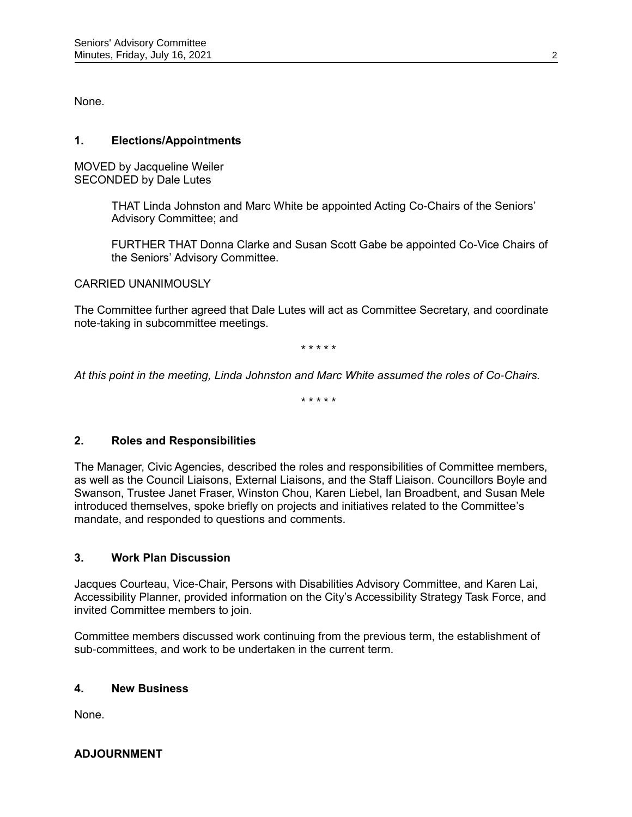None.

## **1. Elections/Appointments**

MOVED by Jacqueline Weiler SECONDED by Dale Lutes

> THAT Linda Johnston and Marc White be appointed Acting Co-Chairs of the Seniors' Advisory Committee; and

FURTHER THAT Donna Clarke and Susan Scott Gabe be appointed Co-Vice Chairs of the Seniors' Advisory Committee.

### CARRIED UNANIMOUSLY

The Committee further agreed that Dale Lutes will act as Committee Secretary, and coordinate note-taking in subcommittee meetings.

*\* \* \* \* \**

*At this point in the meeting, Linda Johnston and Marc White assumed the roles of Co-Chairs.*

*\* \* \* \* \**

## **2. Roles and Responsibilities**

The Manager, Civic Agencies, described the roles and responsibilities of Committee members, as well as the Council Liaisons, External Liaisons, and the Staff Liaison. Councillors Boyle and Swanson, Trustee Janet Fraser, Winston Chou, Karen Liebel, Ian Broadbent, and Susan Mele introduced themselves, spoke briefly on projects and initiatives related to the Committee's mandate, and responded to questions and comments.

### **3. Work Plan Discussion**

Jacques Courteau, Vice-Chair, Persons with Disabilities Advisory Committee, and Karen Lai, Accessibility Planner, provided information on the City's Accessibility Strategy Task Force, and invited Committee members to join.

Committee members discussed work continuing from the previous term, the establishment of sub-committees, and work to be undertaken in the current term.

### **4. New Business**

None.

## **ADJOURNMENT**